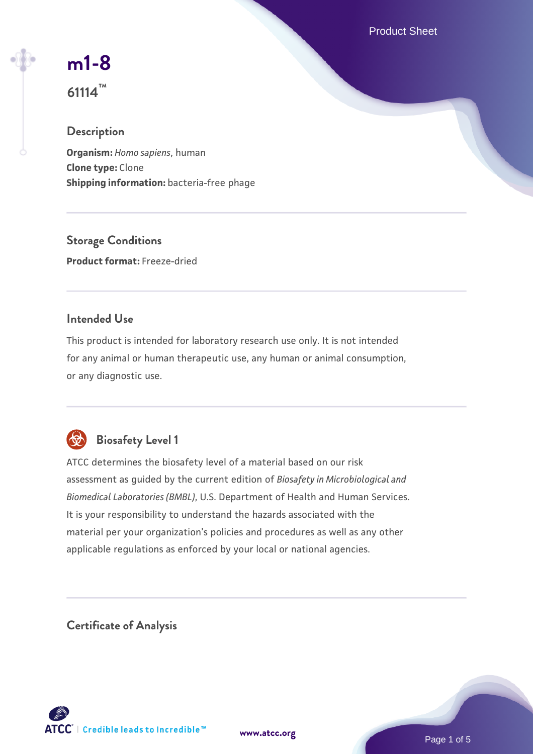Product Sheet

# **[m1-8](https://www.atcc.org/products/61114)**

**61114™**

# **Description**

**Organism:** *Homo sapiens*, human **Clone type:** Clone **Shipping information:** bacteria-free phage

**Storage Conditions Product format:** Freeze-dried

# **Intended Use**

This product is intended for laboratory research use only. It is not intended for any animal or human therapeutic use, any human or animal consumption, or any diagnostic use.



# **Biosafety Level 1**

ATCC determines the biosafety level of a material based on our risk assessment as guided by the current edition of *Biosafety in Microbiological and Biomedical Laboratories (BMBL)*, U.S. Department of Health and Human Services. It is your responsibility to understand the hazards associated with the material per your organization's policies and procedures as well as any other applicable regulations as enforced by your local or national agencies.

**Certificate of Analysis**

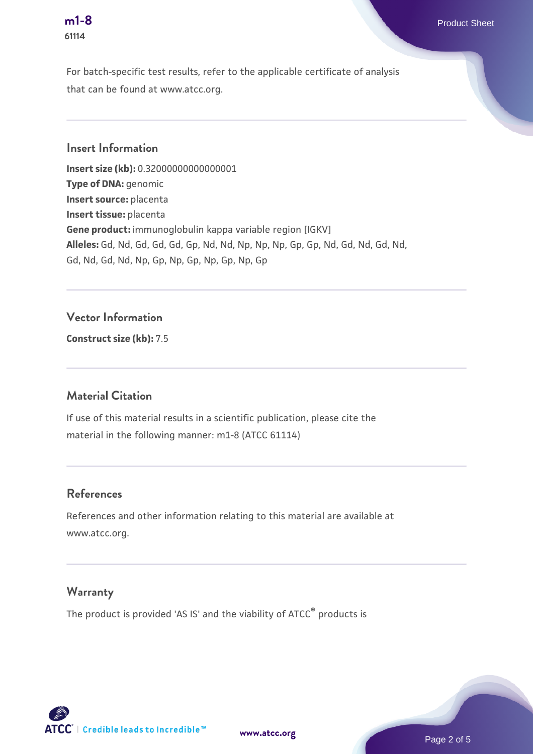# **61114**

For batch-specific test results, refer to the applicable certificate of analysis that can be found at www.atcc.org.

### **Insert Information**

**Insert size (kb):** 0.32000000000000001 **Type of DNA:** genomic **Insert source:** placenta **Insert tissue:** placenta **Gene product:** immunoglobulin kappa variable region [IGKV] **Alleles:** Gd, Nd, Gd, Gd, Gd, Gp, Nd, Nd, Np, Np, Np, Gp, Gp, Nd, Gd, Nd, Gd, Nd, Gd, Nd, Gd, Nd, Np, Gp, Np, Gp, Np, Gp, Np, Gp

#### **Vector Information**

**Construct size (kb):** 7.5

#### **Material Citation**

If use of this material results in a scientific publication, please cite the material in the following manner: m1-8 (ATCC 61114)

#### **References**

References and other information relating to this material are available at www.atcc.org.

#### **Warranty**

The product is provided 'AS IS' and the viability of ATCC® products is

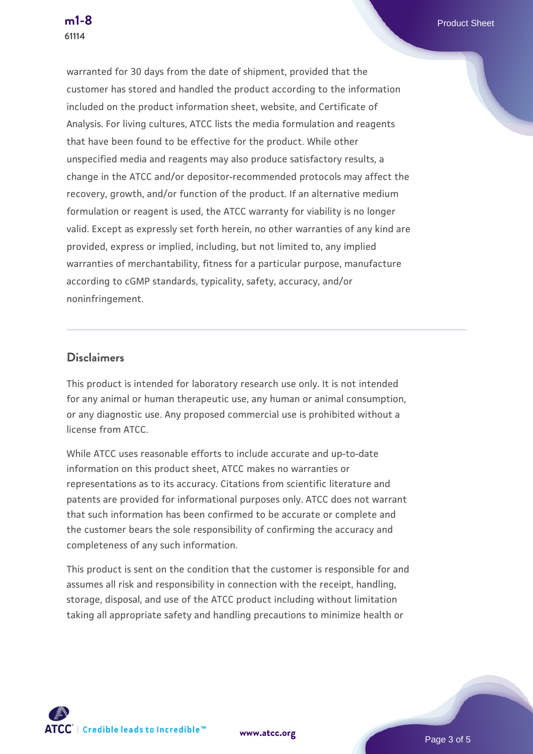warranted for 30 days from the date of shipment, provided that the customer has stored and handled the product according to the information included on the product information sheet, website, and Certificate of Analysis. For living cultures, ATCC lists the media formulation and reagents that have been found to be effective for the product. While other unspecified media and reagents may also produce satisfactory results, a change in the ATCC and/or depositor-recommended protocols may affect the recovery, growth, and/or function of the product. If an alternative medium formulation or reagent is used, the ATCC warranty for viability is no longer valid. Except as expressly set forth herein, no other warranties of any kind are provided, express or implied, including, but not limited to, any implied warranties of merchantability, fitness for a particular purpose, manufacture according to cGMP standards, typicality, safety, accuracy, and/or noninfringement.

#### **Disclaimers**

This product is intended for laboratory research use only. It is not intended for any animal or human therapeutic use, any human or animal consumption, or any diagnostic use. Any proposed commercial use is prohibited without a license from ATCC.

While ATCC uses reasonable efforts to include accurate and up-to-date information on this product sheet, ATCC makes no warranties or representations as to its accuracy. Citations from scientific literature and patents are provided for informational purposes only. ATCC does not warrant that such information has been confirmed to be accurate or complete and the customer bears the sole responsibility of confirming the accuracy and completeness of any such information.

This product is sent on the condition that the customer is responsible for and assumes all risk and responsibility in connection with the receipt, handling, storage, disposal, and use of the ATCC product including without limitation taking all appropriate safety and handling precautions to minimize health or



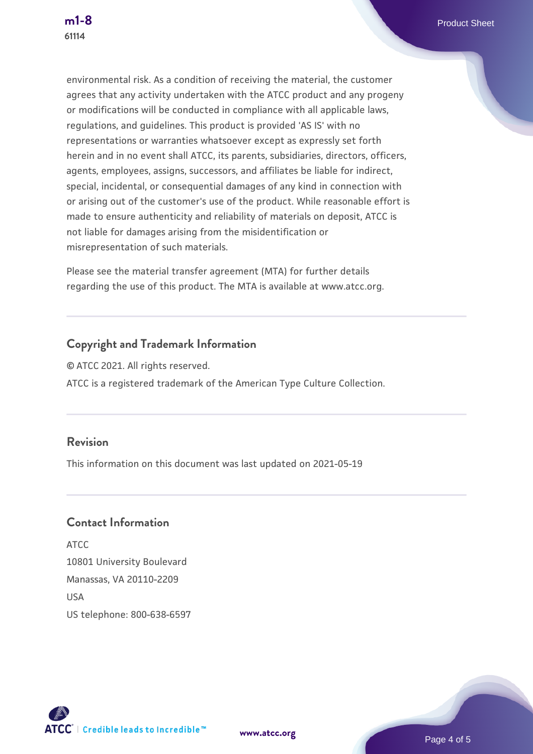environmental risk. As a condition of receiving the material, the customer agrees that any activity undertaken with the ATCC product and any progeny or modifications will be conducted in compliance with all applicable laws, regulations, and guidelines. This product is provided 'AS IS' with no representations or warranties whatsoever except as expressly set forth herein and in no event shall ATCC, its parents, subsidiaries, directors, officers, agents, employees, assigns, successors, and affiliates be liable for indirect, special, incidental, or consequential damages of any kind in connection with or arising out of the customer's use of the product. While reasonable effort is made to ensure authenticity and reliability of materials on deposit, ATCC is not liable for damages arising from the misidentification or misrepresentation of such materials.

Please see the material transfer agreement (MTA) for further details regarding the use of this product. The MTA is available at www.atcc.org.

# **Copyright and Trademark Information**

© ATCC 2021. All rights reserved. ATCC is a registered trademark of the American Type Culture Collection.

## **Revision**

This information on this document was last updated on 2021-05-19

### **Contact Information**

ATCC 10801 University Boulevard Manassas, VA 20110-2209 **IISA** US telephone: 800-638-6597